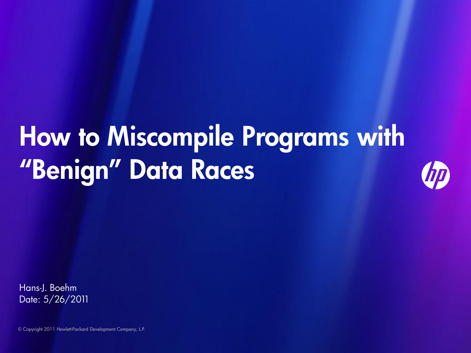# How to Miscompile Programs with "Benign" Data Races



Hans-J. Boehm Date: 5/26/2011

© Copyright 2011 Hewlett-Packard Development Company, L.P.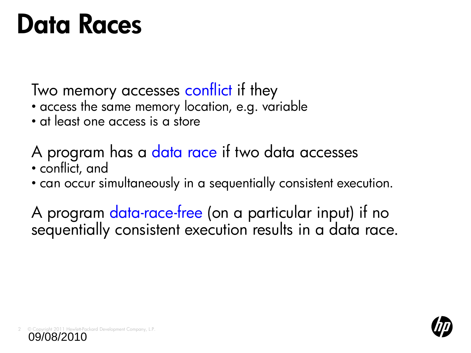## Data Races

Two memory accesses conflict if they

- access the same memory location, e.g. variable
- at least one access is a store

A program has a data race if two data accesses • conflict, and

• can occur simultaneously in a sequentially consistent execution.

A program data-race-free (on a particular input) if no sequentially consistent execution results in a data race.



11 Hewlett-Packard Development Company, L.P. 09/08/2010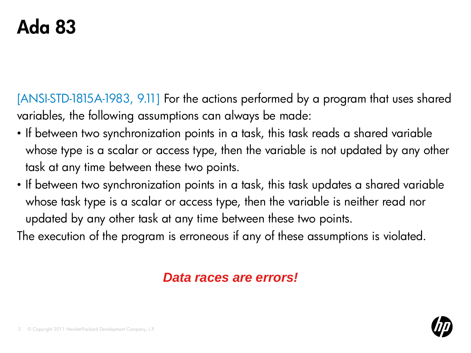## Ada 83

[ANSI-STD-1815A-1983, 9.11] For the actions performed by a program that uses shared variables, the following assumptions can always be made:

- If between two synchronization points in a task, this task reads a shared variable whose type is a scalar or access type, then the variable is not updated by any other task at any time between these two points.
- If between two synchronization points in a task, this task updates a shared variable whose task type is a scalar or access type, then the variable is neither read nor updated by any other task at any time between these two points.

The execution of the program is erroneous if any of these assumptions is violated.

#### *Data races are errors!*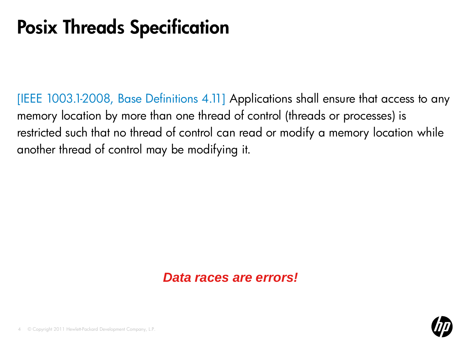#### Posix Threads Specification

[IEEE 1003.1-2008, Base Definitions 4.11] Applications shall ensure that access to any memory location by more than one thread of control (threads or processes) is restricted such that no thread of control can read or modify a memory location while another thread of control may be modifying it.

#### *Data races are errors!*

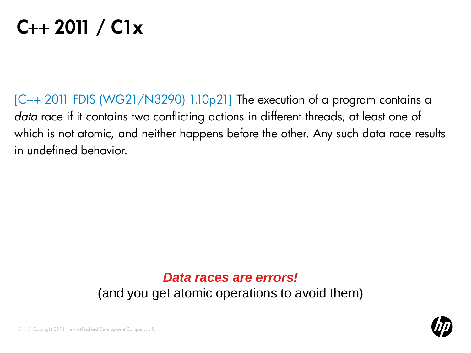## $C_{++}$  2011 /  $C1x$

[C++ 2011 FDIS (WG21/N3290) 1.10p21] The execution of a program contains a *data* race if it contains two conflicting actions in different threads, at least one of which is not atomic, and neither happens before the other. Any such data race results in undefined behavior.

#### *Data races are errors!* (and you get atomic operations to avoid them)

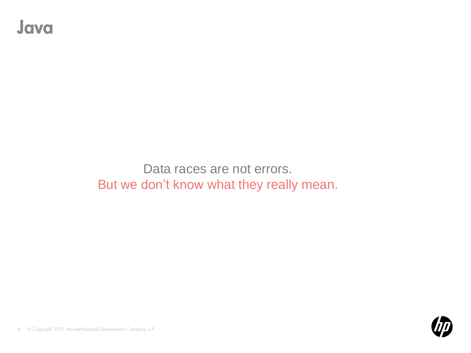#### Java

Data races are not errors. But we don't know what they really mean.



© Copyright 2011 Hewlett-Packard Development Company, L.P. 6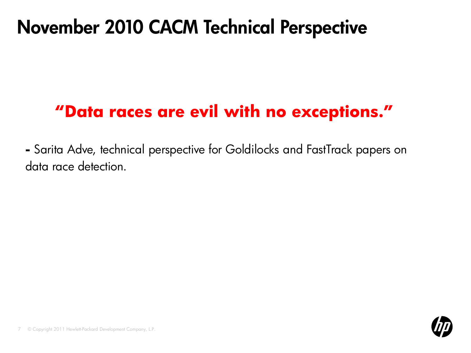#### November 2010 CACM Technical Perspective

#### **"Data races are evil with no exceptions."**

**-** Sarita Adve, technical perspective for Goldilocks and FastTrack papers on data race detection.

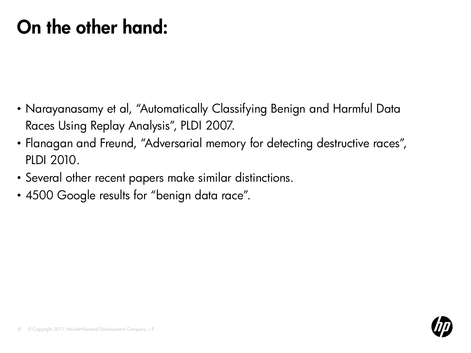## On the other hand:

- Narayanasamy et al, "Automatically Classifying Benign and Harmful Data Races Using Replay Analysis", PLDI 2007.
- Flanagan and Freund, "Adversarial memory for detecting destructive races", PLDI 2010.
- Several other recent papers make similar distinctions.
- 4500 Google results for "benign data race".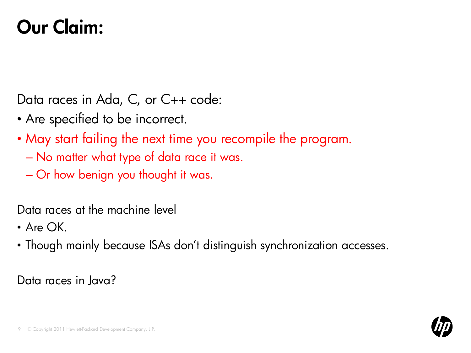## Our Claim:

Data races in Ada, C, or C++ code:

- Are specified to be incorrect.
- May start failing the next time you recompile the program.
	- No matter what type of data race it was.
	- Or how benign you thought it was.

Data races at the machine level

- Are  $\bigcap K$
- Though mainly because ISAs don't distinguish synchronization accesses.

Data races in Java?

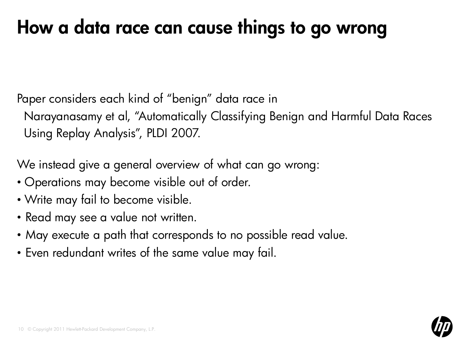## How a data race can cause things to go wrong

Paper considers each kind of "benign" data race in

Narayanasamy et al, "Automatically Classifying Benign and Harmful Data Races Using Replay Analysis", PLDI 2007.

We instead give a general overview of what can go wrong:

- Operations may become visible out of order.
- Write may fail to become visible.
- Read may see a value not written.
- May execute a path that corresponds to no possible read value.
- Even redundant writes of the same value may fail.

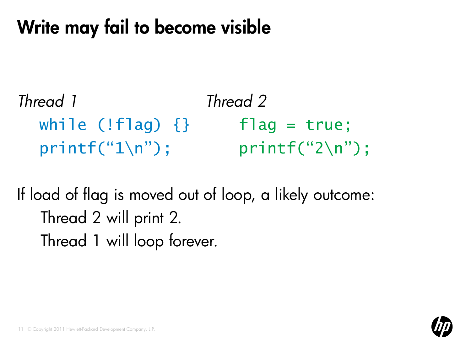## Write may fail to become visible

*Thread 1 Thread 2* while  $(|f|aq)$   $|\}$  flag = true; printf("1\n"); printf("2\n");

If load of flag is moved out of loop, a likely outcome: Thread 2 will print 2. Thread 1 will loop forever.

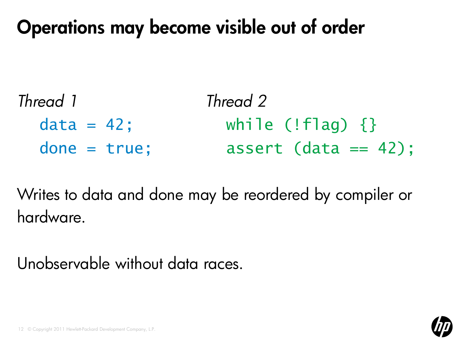#### Operations may become visible out of order

| Thread 1       | Thread 2                |
|----------------|-------------------------|
| $data = 42$ ;  | while $(!$ flag) $\{\}$ |
| $done = true;$ | $assert$ (data == 42);  |

Writes to data and done may be reordered by compiler or hardware.

Unobservable without data races.

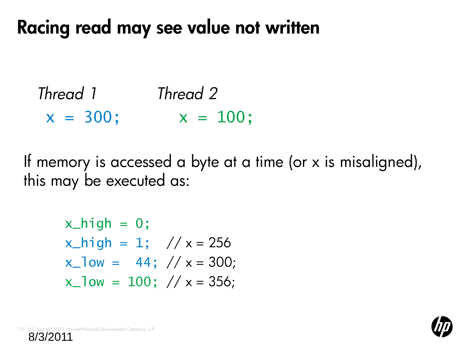#### Racing read may see value not written

```
Thread 1 Thread 2
x = 300; x = 100;
```
If memory is accessed a byte at a time (or x is misaligned), this may be executed as:

$$
x_{high} = 0;
$$
  
\n $x_{high} = 1;$  // x = 256  
\n $x_{low} = 44;$  // x = 300;  
\n $x_{low} = 100;$  // x = 356;



© Copyright 2011 Hewlett-Packard Development Company, L.P. 8/3/2011 13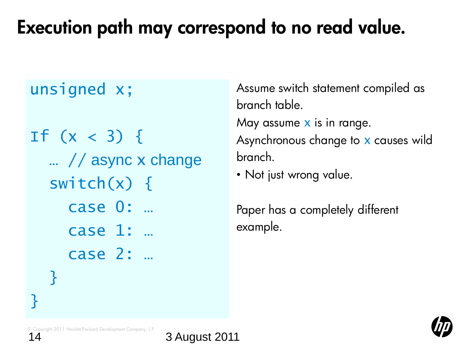## Execution path may correspond to no read value.

#### unsigned x;

If  $(x < 3)$  { … // async x change switch $(x)$  { case 0: … case 1: … case 2: … }

Assume switch statement compiled as branch table. May assume  $x$  is in range. Asynchronous change to x causes wild branch.

• Not just wrong value.

Paper has a completely different example.



© Copyright 2011 Hewlett-Packard Development Company, L.P.

<u>}</u>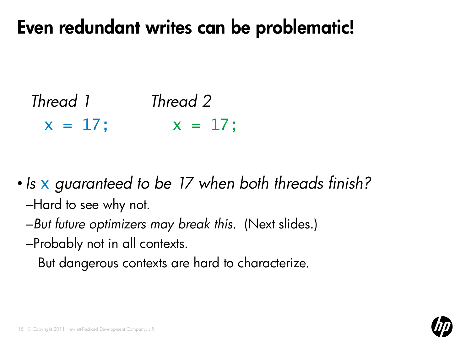#### Even redundant writes can be problematic!

*Thread 1 Thread 2*  $x = 17$ ;  $x = 17$ ;

• *Is* x *guaranteed to be 17 when both threads finish?* –Hard to see why not.

–*But future optimizers may break this.* (Next slides.) –Probably not in all contexts.

But dangerous contexts are hard to characterize.

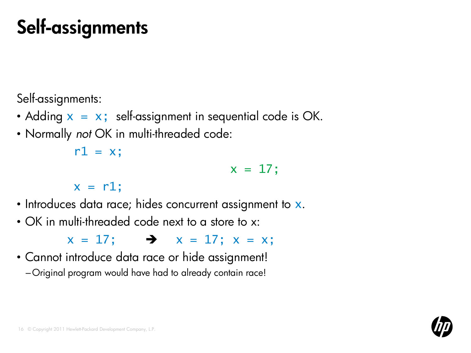## Self-assignments

Self-assignments:

- Adding  $x = x$ ; self-assignment in sequential code is OK.
- Normally *not* OK in multi-threaded code:

 $r1 = x$ ;

 $x = 17$ ;

 $x = r1$ ;

- Introduces data race; hides concurrent assignment to x.
- OK in multi-threaded code next to a store to x:

 $x = 17$ ;  $\rightarrow x = 17$ ;  $x = x$ ;

• Cannot introduce data race or hide assignment! –Original program would have had to already contain race!

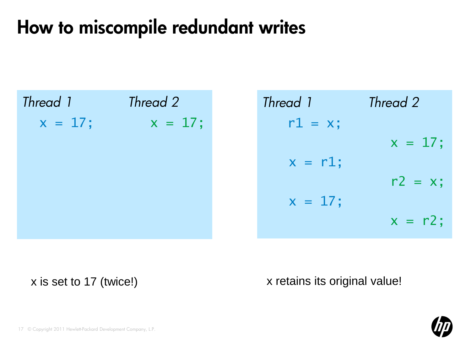## How to miscompile redundant writes

| Thread 1  | Thread 2  |  |
|-----------|-----------|--|
| $x = 17;$ | $x = 17;$ |  |
|           |           |  |
|           |           |  |
|           |           |  |
|           |           |  |
|           |           |  |

*Thread 1 Thread 2*  $r1 = x;$  $x = 17;$  $x = r1;$  $r2 = x;$  $x = 17;$  $x = r2;$ 

x is set to 17 (twice!) x is set to 17 (twice!)

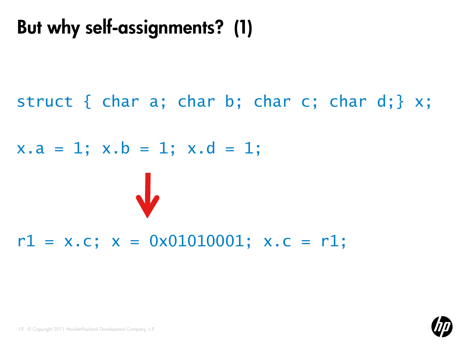## But why self-assignments? (1)

#### struct { char a; char b; char c; char d; }  $x$ ;

#### $x.a = 1; x.b = 1; x.d = 1;$

#### $r1 = x.c; x = 0x01010001; x.c = r1;$

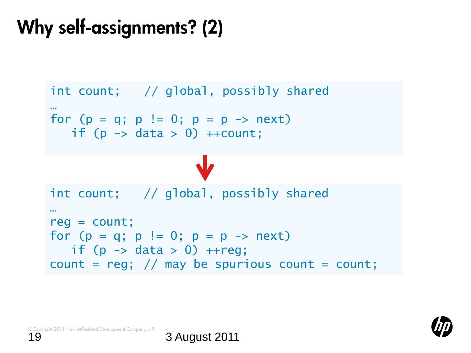## Why self-assignments? (2)

```
int count; // global, possibly shared
…
for (p = q; p := 0; p = p \rightarrow next)if (p \rightarrow data > 0) ++count;
int count; // global, possibly shared
…
reg = count;
for (p = q; p := 0; p = p \rightarrow next)if (p \rightarrow data > 0) ++reg;
count = reg; // may be spurious count = count;
```
© Copyright 2011 Hewlett-Packard Development Company, L.P.

$$
Q\!\!\!\!/\,\,
$$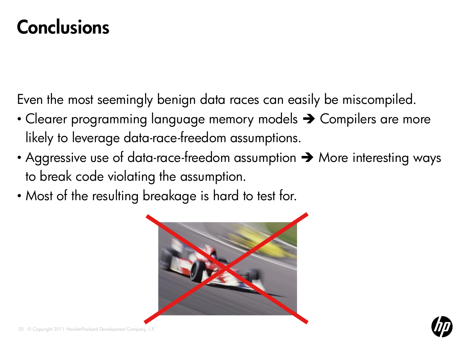#### **Conclusions**

Even the most seemingly benign data races can easily be miscompiled.

- Clearer programming language memory models  $\rightarrow$  Compilers are more likely to leverage data-race-freedom assumptions.
- Aggressive use of data-race-freedom assumption  $\rightarrow$  More interesting ways to break code violating the assumption.
- Most of the resulting breakage is hard to test for.



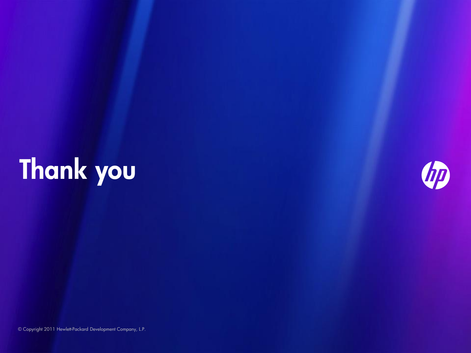# Thank you



© Copyright 2011 Hewlett-Packard Development Company, L.P.